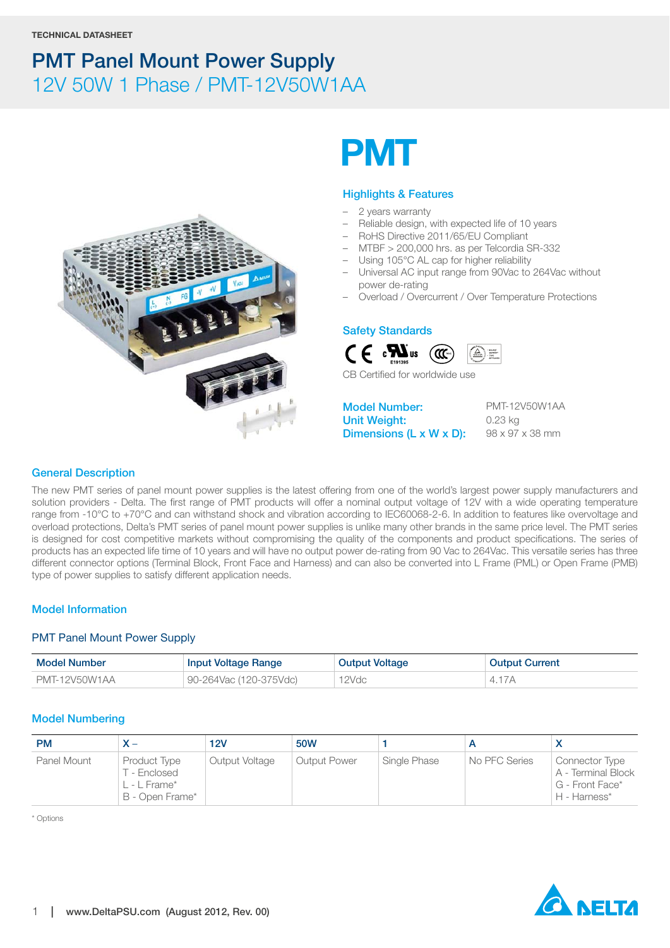

# **PMT**

#### **Highlights & Features**

- 2 years warranty
- Reliable design, with expected life of 10 years
- RoHS Directive 2011/65/EU Compliant
- MTBF > 200,000 hrs. as per Telcordia SR-332
- Using 105°C AL cap for higher reliability
- Universal AC input range from 90Vac to 264Vac without power de-rating
- Overload / Overcurrent / Over Temperature Protections

#### **Safety Standards**



CB Certified for worldwide use

**Model Number: Unit Weight: Dimensions (L x W x D):** PMT-12V50W1AA 0.23 kg 98 x 97 x 38 mm

#### **General Description**

The new PMT series of panel mount power supplies is the latest offering from one of the world's largest power supply manufacturers and solution providers - Delta. The first range of PMT products will offer a nominal output voltage of 12V with a wide operating temperature range from -10°C to +70°C and can withstand shock and vibration according to IEC60068-2-6. In addition to features like overvoltage and overload protections, Delta's PMT series of panel mount power supplies is unlike many other brands in the same price level. The PMT series is designed for cost competitive markets without compromising the quality of the components and product specifications. The series of products has an expected life time of 10 years and will have no output power de-rating from 90 Vac to 264Vac. This versatile series has three different connector options (Terminal Block, Front Face and Harness) and can also be converted into L Frame (PML) or Open Frame (PMB) type of power supplies to satisfy different application needs.

#### **Model Information**

#### PMT Panel Mount Power Supply

| Model Number  | <b>Input Voltage Range</b> | <b>Output Voltage</b> | <b>Output Current</b> |
|---------------|----------------------------|-----------------------|-----------------------|
| PMT-12V50W1AA | 90-264Vac (120-375Vdc)     | 12Vdc                 | 4.17A                 |

#### **Model Numbering**

| <b>PM</b>   |                                                                 | 12V            | 50W                 |              |               |                                                                         |
|-------------|-----------------------------------------------------------------|----------------|---------------------|--------------|---------------|-------------------------------------------------------------------------|
| Panel Mount | Product Type<br>T - Enclosed<br>L - L Frame*<br>B - Open Frame* | Output Voltage | <b>Output Power</b> | Single Phase | No PFC Series | Connector Type<br>A - Terminal Block<br>G - Front Face*<br>H - Harness* |

\* Options

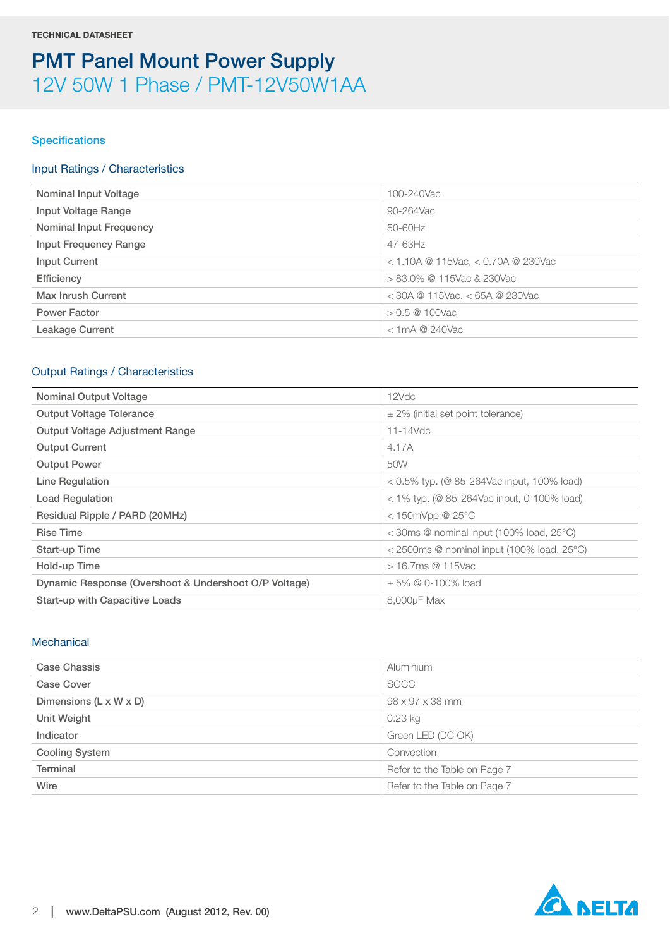#### **Specifications**

#### Input Ratings / Characteristics

| Nominal Input Voltage          | 100-240Vac                             |
|--------------------------------|----------------------------------------|
| Input Voltage Range            | 90-264Vac                              |
| <b>Nominal Input Frequency</b> | 50-60Hz                                |
| <b>Input Frequency Range</b>   | $47 - 63$ Hz                           |
| <b>Input Current</b>           | $<$ 1.10A @ 115Vac, $<$ 0.70A @ 230Vac |
| Efficiency                     | $> 83.0\%$ @ 115Vac & 230Vac           |
| Max Inrush Current             | $<$ 30A @ 115Vac, $<$ 65A @ 230Vac     |
| <b>Power Factor</b>            | $> 0.5 \ @ \ 100$ Vac                  |
| <b>Leakage Current</b>         | $<$ 1 mA @ 240 Vac                     |
|                                |                                        |

#### Output Ratings / Characteristics

| <b>Nominal Output Voltage</b>                         | 12Vdc                                                   |  |
|-------------------------------------------------------|---------------------------------------------------------|--|
| <b>Output Voltage Tolerance</b>                       | $\pm$ 2% (initial set point tolerance)                  |  |
| Output Voltage Adjustment Range                       | 11-14Vdc                                                |  |
| <b>Output Current</b>                                 | 4.17A                                                   |  |
| <b>Output Power</b>                                   | 50W                                                     |  |
| Line Regulation                                       | $0.5\%$ typ. (@ 85-264Vac input, 100% load)             |  |
| <b>Load Regulation</b>                                | $<$ 1% typ. (@ 85-264Vac input, 0-100% load)            |  |
| Residual Ripple / PARD (20MHz)                        | $<$ 150mVpp @ 25 $^{\circ}$ C                           |  |
| <b>Rise Time</b>                                      | $<$ 30ms @ nominal input (100% load, 25 $^{\circ}$ C)   |  |
| Start-up Time                                         | $<$ 2500ms @ nominal input (100% load, 25 $^{\circ}$ C) |  |
| Hold-up Time                                          | $> 16.7$ ms @ 115Vac                                    |  |
| Dynamic Response (Overshoot & Undershoot O/P Voltage) | $\pm$ 5% @ 0-100% load                                  |  |
| <b>Start-up with Capacitive Loads</b>                 | 8,000uF Max                                             |  |
|                                                       |                                                         |  |

#### **Mechanical**

| <b>Case Chassis</b>    | <b>Aluminium</b>             |
|------------------------|------------------------------|
| Case Cover             | SGCC                         |
| Dimensions (L x W x D) | 98 x 97 x 38 mm              |
| Unit Weight            | 0.23 kg                      |
| Indicator              | Green LED (DC OK)            |
| <b>Cooling System</b>  | Convection                   |
| <b>Terminal</b>        | Refer to the Table on Page 7 |
| Wire                   | Refer to the Table on Page 7 |

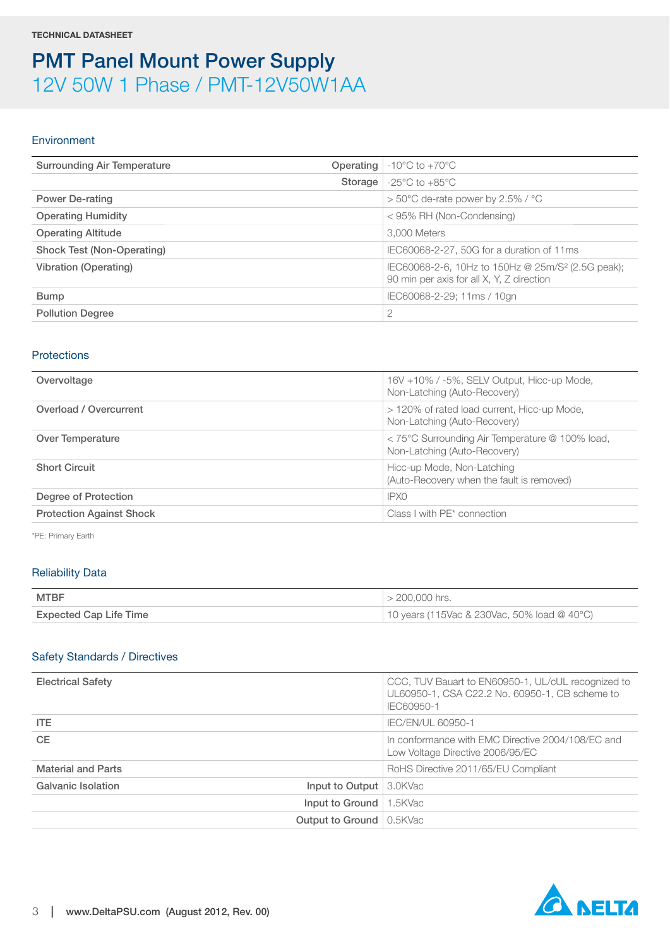#### Environment

| <b>Surrounding Air Temperature</b><br>Operating | $-10^{\circ}$ C to $+70^{\circ}$ C                                                                         |
|-------------------------------------------------|------------------------------------------------------------------------------------------------------------|
| Storage                                         | $-25^{\circ}$ C to $+85^{\circ}$ C                                                                         |
| <b>Power De-rating</b>                          | $>$ 50°C de-rate power by 2.5% / °C                                                                        |
| <b>Operating Humidity</b>                       | $<$ 95% RH (Non-Condensing)                                                                                |
| <b>Operating Altitude</b>                       | 3,000 Meters                                                                                               |
| Shock Test (Non-Operating)                      | IEC60068-2-27, 50G for a duration of 11ms                                                                  |
| <b>Vibration (Operating)</b>                    | IEC60068-2-6, 10Hz to 150Hz @ 25m/S <sup>2</sup> (2.5G peak);<br>90 min per axis for all X, Y, Z direction |
| <b>Bump</b>                                     | IEC60068-2-29; 11ms / 10gn                                                                                 |
| <b>Pollution Degree</b>                         | 2                                                                                                          |
|                                                 |                                                                                                            |

#### <span id="page-2-0"></span>**Protections**

| 16V +10% / -5%, SELV Output, Hicc-up Mode,<br>Non-Latching (Auto-Recovery)      |
|---------------------------------------------------------------------------------|
| > 120% of rated load current, Hicc-up Mode,<br>Non-Latching (Auto-Recovery)     |
| < 75°C Surrounding Air Temperature @ 100% load,<br>Non-Latching (Auto-Recovery) |
| Hicc-up Mode, Non-Latching<br>(Auto-Recovery when the fault is removed)         |
| IPX0                                                                            |
| Class I with PE <sup>*</sup> connection                                         |
|                                                                                 |

\*PE: Primary Earth

#### Reliability Data

| <b>MTBF</b>                   | $>$ 200,000 hrs.                            |
|-------------------------------|---------------------------------------------|
| <b>Expected Cap Life Time</b> | 10 years (115Vac & 230Vac, 50% load @ 40°C) |

#### Safety Standards / Directives

| <b>Electrical Safety</b>                               | CCC, TUV Bauart to EN60950-1, UL/cUL recognized to<br>UL60950-1, CSA C22.2 No. 60950-1, CB scheme to<br>IEC60950-1 |
|--------------------------------------------------------|--------------------------------------------------------------------------------------------------------------------|
| ITE.                                                   | <b>IEC/EN/UL 60950-1</b>                                                                                           |
| <b>CE</b>                                              | In conformance with EMC Directive 2004/108/EC and<br>Low Voltage Directive 2006/95/EC                              |
| <b>Material and Parts</b>                              | RoHS Directive 2011/65/EU Compliant                                                                                |
| <b>Galvanic Isolation</b><br>Input to Output   3.0KVac |                                                                                                                    |
| Input to Ground                                        | 1.5KVac                                                                                                            |
| <b>Output to Ground</b> 0.5KVac                        |                                                                                                                    |

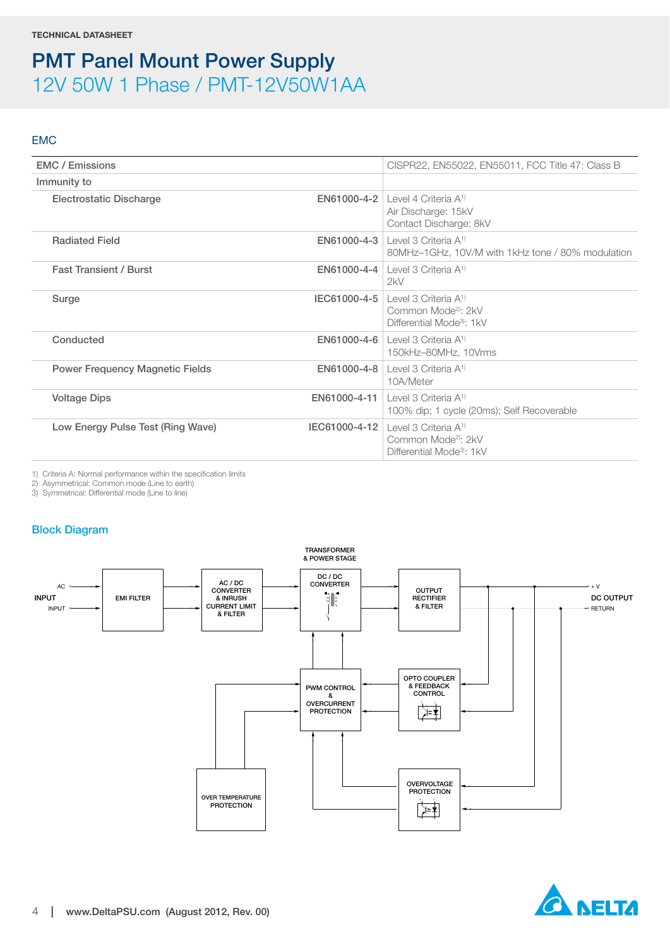#### EMC

| <b>EMC</b> / Emissions                 |             | CISPR22, EN55022, EN55011, FCC Title 47: Class B                                                                        |
|----------------------------------------|-------------|-------------------------------------------------------------------------------------------------------------------------|
| Immunity to                            |             |                                                                                                                         |
| <b>Electrostatic Discharge</b>         |             | <b>EN61000-4-2</b>   Level 4 Criteria $A^{1}$<br>Air Discharge: 15kV<br>Contact Discharge: 8kV                          |
| <b>Radiated Field</b>                  |             | <b>EN61000-4-3</b> Level 3 Criteria $A^{1}$<br>80MHz-1GHz, 10V/M with 1kHz tone / 80% modulation                        |
| <b>Fast Transient / Burst</b>          |             | <b>EN61000-4-4</b>   Level 3 Criteria $A^1$<br>2kV                                                                      |
| Surge                                  |             | <b>IEC61000-4-5</b> Level 3 Criteria $A^{1}$<br>Common Mode <sup>2</sup> : 2kV<br>Differential Mode <sup>3</sup> : 1kV  |
| Conducted                              |             | <b>EN61000-4-6</b> Level 3 Criteria $A^{1}$<br>150kHz-80MHz, 10Vrms                                                     |
| <b>Power Frequency Magnetic Fields</b> | EN61000-4-8 | Level 3 Criteria A <sup>1)</sup><br>10A/Meter                                                                           |
| <b>Voltage Dips</b>                    |             | <b>EN61000-4-11</b> Level 3 Criteria $A^{1}$<br>100% dip; 1 cycle (20ms); Self Recoverable                              |
| Low Energy Pulse Test (Ring Wave)      |             | <b>IEC61000-4-12</b>   evel 3 Criteria $A^1$<br>Common Mode <sup>2)</sup> : 2kV<br>Differential Mode <sup>3</sup> : 1kV |

1) Criteria A: Normal performance within the specification limits

2) Asymmetrical: Common mode (Line to earth)

3) Symmetrical: Differential mode (Line to line)

#### **Block Diagram**



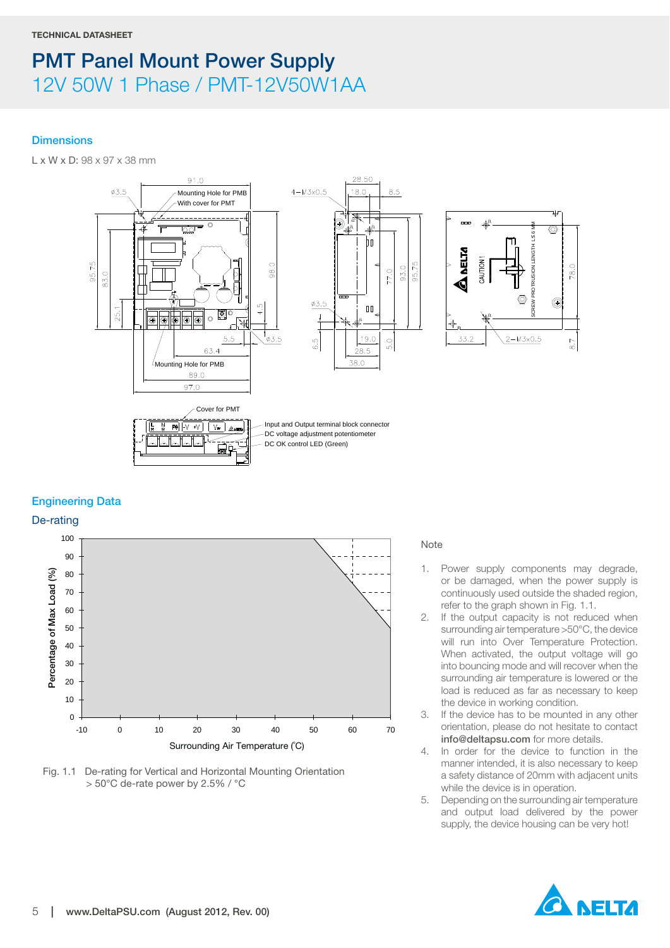#### **Dimensions**

L x W x D: 98 x 97 x 38 mm



#### **Engineering Data**

De-rating





#### Note

- 1. Power supply components may degrade, or be damaged, when the power supply is continuously used outside the shaded region, refer to the graph shown in Fig. 1.1.
- 2. If the output capacity is not reduced when surrounding air temperature >50°C, the device will run into Over Temperature Protection. When activated, the output voltage will go into bouncing mode and will recover when the surrounding air temperature is lowered or the load is reduced as far as necessary to keep the device in working condition.
- 3. If the device has to be mounted in any other orientation, please do not hesitate to contact **info@deltapsu.com** for more details.
- 4. In order for the device to function in the manner intended, it is also necessary to keep a safety distance of 20mm with adjacent units while the device is in operation.
- 5. Depending on the surrounding air temperature and output load delivered by the power supply, the device housing can be very hot!

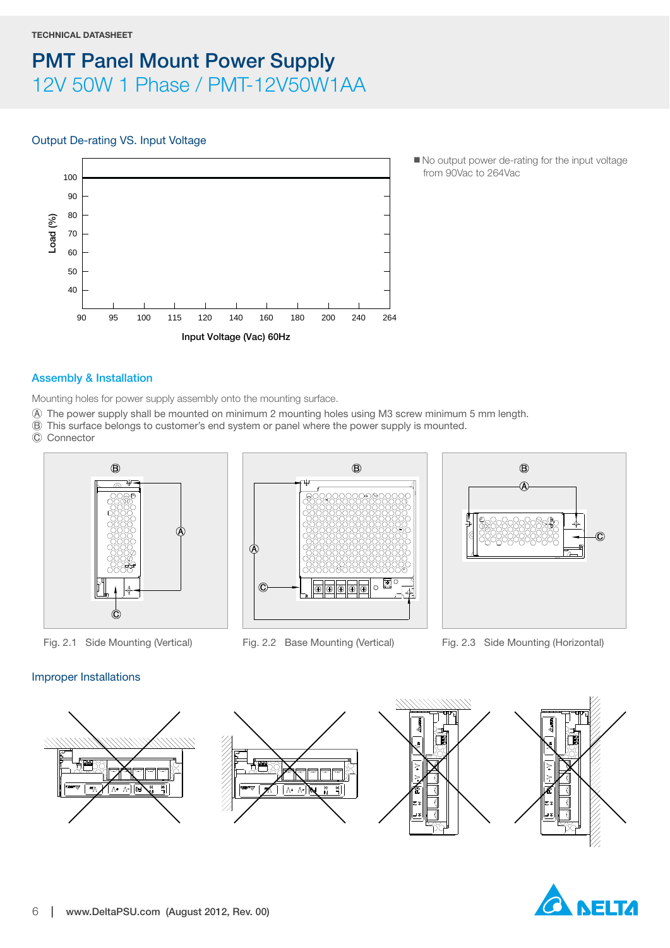#### **TECHNICAL DATASHEET**

### **PMT Panel Mount Power Supply** 12V 50W 1 Phase / PMT-12V50W1AA

#### Output De-rating VS. Input Voltage



■ No output power de-rating for the input voltage from 90Vac to 264Vac

#### **Assembly & Installation**

Mounting holes for power supply assembly onto the mounting surface.

- Ⓐ The power supply shall be mounted on minimum 2 mounting holes using M3 screw minimum 5 mm length.
- Ⓑ This surface belongs to customer's end system or panel where the power supply is mounted.
- Ⓒ Connector







Fig. 2.1 Side Mounting (Vertical) Fig. 2.2 Base Mounting (Vertical) Fig. 2.3 Side Mounting (Horizontal)

#### Improper Installations



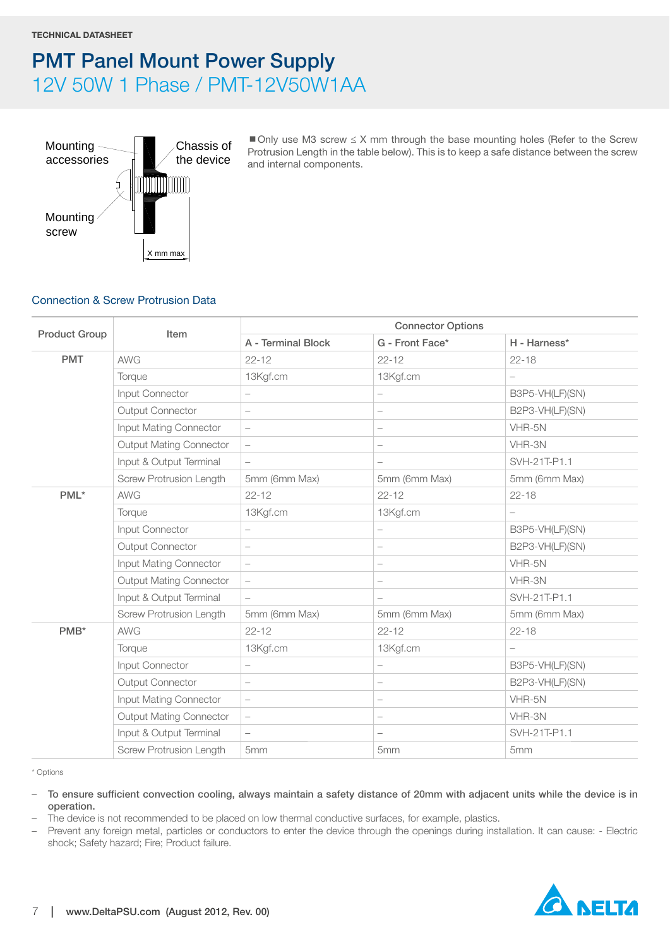

 $\blacksquare$  Only use M3 screw  $\leq$  X mm through the base mounting holes (Refer to the Screw Protrusion Length in the table below). This is to keep a safe distance between the screw and internal components.

#### <span id="page-6-0"></span>Connection & Screw Protrusion Data

|                      |                                | <b>Connector Options</b> |                                  |                 |  |
|----------------------|--------------------------------|--------------------------|----------------------------------|-----------------|--|
| <b>Product Group</b> | Item                           | A - Terminal Block       | G - Front Face*                  | H - Harness*    |  |
| <b>PMT</b>           | <b>AWG</b>                     | $22 - 12$                | $22 - 12$                        | $22 - 18$       |  |
|                      | Torque                         | 13Kgf.cm                 | 13Kgf.cm                         |                 |  |
|                      | Input Connector                | $\overline{\phantom{0}}$ | $\overline{\phantom{0}}$         | B3P5-VH(LF)(SN) |  |
|                      | <b>Output Connector</b>        | $\qquad \qquad -$        | $\overline{\phantom{0}}$         | B2P3-VH(LF)(SN) |  |
|                      | Input Mating Connector         |                          | $\overbrace{\phantom{12322111}}$ | VHR-5N          |  |
|                      | <b>Output Mating Connector</b> | $\qquad \qquad -$        | $\overline{\phantom{0}}$         | VHR-3N          |  |
|                      | Input & Output Terminal        | $\qquad \qquad -$        | $\overline{\phantom{0}}$         | SVH-21T-P1.1    |  |
|                      | Screw Protrusion Length        | 5mm (6mm Max)            | 5mm (6mm Max)                    | 5mm (6mm Max)   |  |
| PML*                 | <b>AWG</b>                     | $22 - 12$                | $22 - 12$                        | $22 - 18$       |  |
|                      | Torque                         | 13Kgf.cm                 | 13Kgf.cm                         |                 |  |
|                      | Input Connector                | $\overline{\phantom{0}}$ | $\qquad \qquad -$                | B3P5-VH(LF)(SN) |  |
|                      | <b>Output Connector</b>        | $\qquad \qquad -$        | $\overbrace{\phantom{12322111}}$ | B2P3-VH(LF)(SN) |  |
|                      | Input Mating Connector         | $\overline{\phantom{0}}$ | $\overline{\phantom{0}}$         | VHR-5N          |  |
|                      | <b>Output Mating Connector</b> | $\qquad \qquad -$        |                                  | VHR-3N          |  |
|                      | Input & Output Terminal        | $\qquad \qquad -$        | $\overline{\phantom{0}}$         | SVH-21T-P1.1    |  |
|                      | Screw Protrusion Length        | 5mm (6mm Max)            | 5mm (6mm Max)                    | 5mm (6mm Max)   |  |
| PMB*                 | <b>AWG</b>                     | $22 - 12$                | $22 - 12$                        | $22 - 18$       |  |
|                      | Torque                         | 13Kgf.cm                 | 13Kgf.cm                         |                 |  |
|                      | Input Connector                | $\overline{\phantom{0}}$ | $\overline{\phantom{0}}$         | B3P5-VH(LF)(SN) |  |
|                      | Output Connector               |                          | $\overline{\phantom{0}}$         | B2P3-VH(LF)(SN) |  |
|                      | Input Mating Connector         | $\overline{\phantom{0}}$ |                                  | VHR-5N          |  |
|                      | Output Mating Connector        | $\qquad \qquad -$        | $\overline{\phantom{0}}$         | VHR-3N          |  |
|                      | Input & Output Terminal        | $\qquad \qquad -$        | $\overline{\phantom{m}}$         | SVH-21T-P1.1    |  |
|                      | <b>Screw Protrusion Length</b> | 5mm                      | 5mm                              | 5mm             |  |

\* Options

– **To ensure sufficient convection cooling, always maintain a safety distance of 20mm with adjacent units while the device is in operation.**

– The device is not recommended to be placed on low thermal conductive surfaces, for example, plastics.

– Prevent any foreign metal, particles or conductors to enter the device through the openings during installation. It can cause: - Electric shock; Safety hazard; Fire; Product failure.

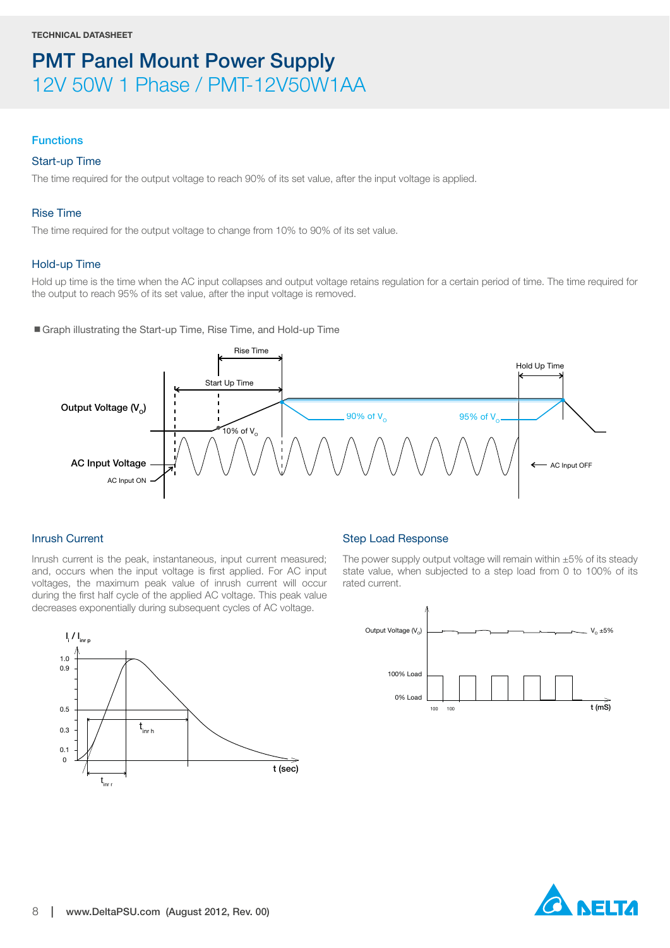#### **Functions**

#### Start-up Time

The time required for the output voltage to reach 90% of its set value, after the input voltage is applied.

#### Rise Time

The time required for the output voltage to change from 10% to 90% of its set value.

#### Hold-up Time

Hold up time is the time when the AC input collapses and output voltage retains regulation for a certain period of time. The time required for the output to reach 95% of its set value, after the input voltage is removed.

■ Graph illustrating the Start-up Time, Rise Time, and Hold-up Time



#### Inrush Current

Inrush current is the peak, instantaneous, input current measured; and, occurs when the input voltage is first applied. For AC input voltages, the maximum peak value of inrush current will occur during the first half cycle of the applied AC voltage. This peak value decreases exponentially during subsequent cycles of AC voltage.



The power supply output voltage will remain within  $\pm 5\%$  of its steady state value, when subjected to a step load from 0 to 100% of its rated current.





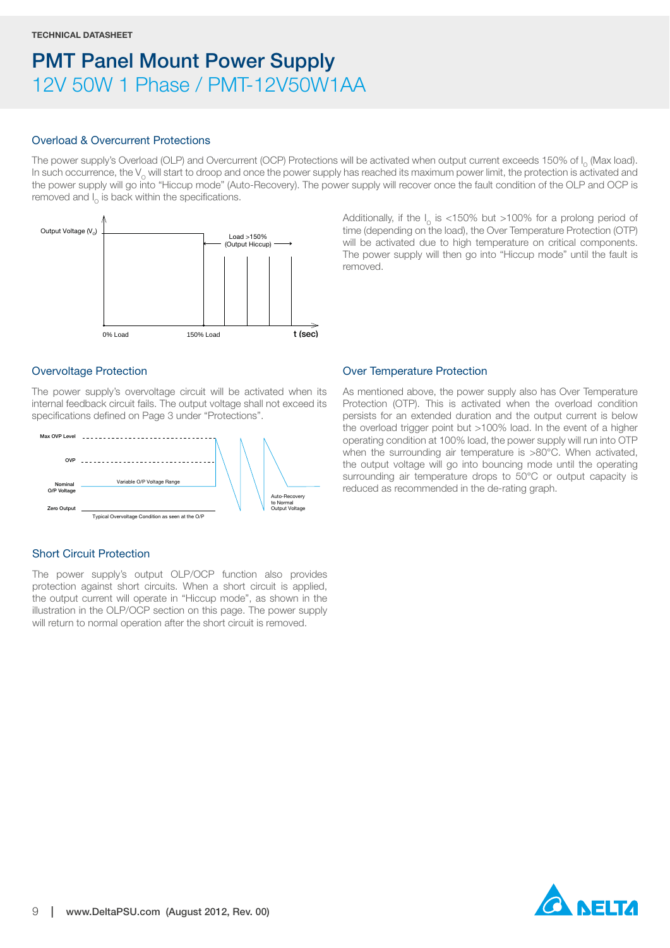#### Overload & Overcurrent Protections

The power supply's Overload (OLP) and Overcurrent (OCP) Protections will be activated when output current exceeds 150% of I<sub>o</sub> (Max load). In such occurrence, the  $V_{\alpha}$  will start to droop and once the power supply has reached its maximum power limit, the protection is activated and the power supply will go into "Hiccup mode" (Auto-Recovery). The power supply will recover once the fault condition of the OLP and OCP is removed and  $I_0$  is back within the specifications.

removed.



Overvoltage Protection

The power supply's overvoltage circuit will be activated when its internal feedback circuit fails. The output voltage shall not exceed its specifications defined on [Page 3](#page-2-0) under "[Protections"](#page-2-0).



#### Short Circuit Protection

The power supply's output OLP/OCP function also provides protection against short circuits. When a short circuit is applied, the output current will operate in "Hiccup mode", as shown in the illustration in the OLP/OCP section on this page. The power supply will return to normal operation after the short circuit is removed.

Over Temperature Protection

As mentioned above, the power supply also has Over Temperature Protection (OTP). This is activated when the overload condition persists for an extended duration and the output current is below the overload trigger point but >100% load. In the event of a higher operating condition at 100% load, the power supply will run into OTP when the surrounding air temperature is >80°C. When activated, the output voltage will go into bouncing mode until the operating surrounding air temperature drops to 50°C or output capacity is reduced as recommended in the de-rating graph.

Additionally, if the  $I_0$  is <150% but >100% for a prolong period of time (depending on the load), the Over Temperature Protection (OTP) will be activated due to high temperature on critical components. The power supply will then go into "Hiccup mode" until the fault is